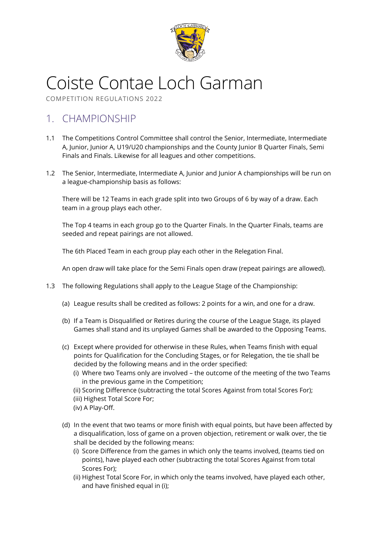

# Coiste Contae Loch Garman

COMPETITION REGULATIONS 2022

# 1. CHAMPIONSHIP

- 1.1 The Competitions Control Committee shall control the Senior, Intermediate, Intermediate A, Junior, Junior A, U19/U20 championships and the County Junior B Quarter Finals, Semi Finals and Finals. Likewise for all leagues and other competitions.
- 1.2 The Senior, Intermediate, Intermediate A, Junior and Junior A championships will be run on a league-championship basis as follows:

There will be 12 Teams in each grade split into two Groups of 6 by way of a draw. Each team in a group plays each other.

The Top 4 teams in each group go to the Quarter Finals. In the Quarter Finals, teams are seeded and repeat pairings are not allowed.

The 6th Placed Team in each group play each other in the Relegation Final.

An open draw will take place for the Semi Finals open draw (repeat pairings are allowed).

- 1.3 The following Regulations shall apply to the League Stage of the Championship:
	- (a) League results shall be credited as follows: 2 points for a win, and one for a draw.
	- (b) If a Team is Disqualified or Retires during the course of the League Stage, its played Games shall stand and its unplayed Games shall be awarded to the Opposing Teams.
	- (c) Except where provided for otherwise in these Rules, when Teams finish with equal points for Qualification for the Concluding Stages, or for Relegation, the tie shall be decided by the following means and in the order specified:
		- (i) Where two Teams only are involved the outcome of the meeting of the two Teams in the previous game in the Competition;
		- (ii) Scoring Difference (subtracting the total Scores Against from total Scores For);
		- (iii) Highest Total Score For;
		- (iv) A Play-Off.
	- (d) In the event that two teams or more finish with equal points, but have been affected by a disqualification, loss of game on a proven objection, retirement or walk over, the tie shall be decided by the following means:
		- (i) Score Difference from the games in which only the teams involved, (teams tied on points), have played each other (subtracting the total Scores Against from total Scores For);
		- (ii) Highest Total Score For, in which only the teams involved, have played each other, and have finished equal in (i);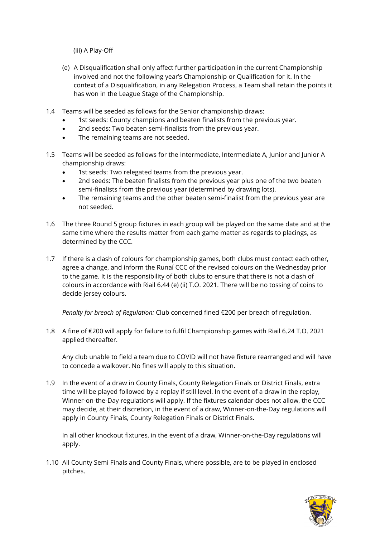(iii) A Play-Off

- (e) A Disqualification shall only affect further participation in the current Championship involved and not the following year's Championship or Qualification for it. In the context of a Disqualification, in any Relegation Process, a Team shall retain the points it has won in the League Stage of the Championship.
- 1.4 Teams will be seeded as follows for the Senior championship draws:
	- 1st seeds: County champions and beaten finalists from the previous year.
	- 2nd seeds: Two beaten semi-finalists from the previous year.
	- The remaining teams are not seeded.
- 1.5 Teams will be seeded as follows for the Intermediate, Intermediate A, Junior and Junior A championship draws:
	- 1st seeds: Two relegated teams from the previous year.
	- 2nd seeds: The beaten finalists from the previous year plus one of the two beaten semi-finalists from the previous year (determined by drawing lots).
	- The remaining teams and the other beaten semi-finalist from the previous year are not seeded.
- 1.6 The three Round 5 group fixtures in each group will be played on the same date and at the same time where the results matter from each game matter as regards to placings, as determined by the CCC.
- 1.7 If there is a clash of colours for championship games, both clubs must contact each other, agree a change, and inform the Runaí CCC of the revised colours on the Wednesday prior to the game. It is the responsibility of both clubs to ensure that there is not a clash of colours in accordance with Riail 6.44 (e) (ii) T.O. 2021. There will be no tossing of coins to decide jersey colours.

*Penalty for breach of Regulation:* Club concerned fined €200 per breach of regulation.

1.8 A fine of €200 will apply for failure to fulfil Championship games with Riail 6.24 T.O. 2021 applied thereafter.

Any club unable to field a team due to COVID will not have fixture rearranged and will have to concede a walkover. No fines will apply to this situation.

1.9 In the event of a draw in County Finals, County Relegation Finals or District Finals, extra time will be played followed by a replay if still level. In the event of a draw in the replay, Winner-on-the-Day regulations will apply. If the fixtures calendar does not allow, the CCC may decide, at their discretion, in the event of a draw, Winner-on-the-Day regulations will apply in County Finals, County Relegation Finals or District Finals.

In all other knockout fixtures, in the event of a draw, Winner-on-the-Day regulations will apply.

1.10 All County Semi Finals and County Finals, where possible, are to be played in enclosed pitches.

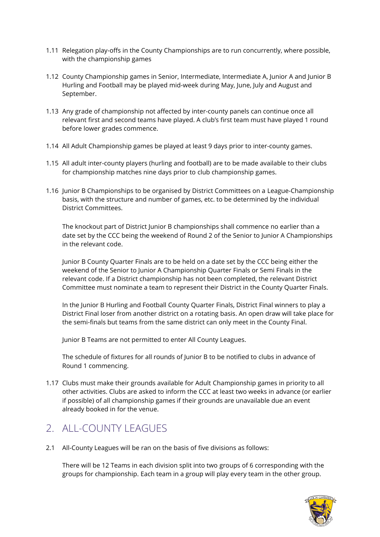- 1.11 Relegation play-offs in the County Championships are to run concurrently, where possible, with the championship games
- 1.12 County Championship games in Senior, Intermediate, Intermediate A, Junior A and Junior B Hurling and Football may be played mid-week during May, June, July and August and September.
- 1.13 Any grade of championship not affected by inter-county panels can continue once all relevant first and second teams have played. A club's first team must have played 1 round before lower grades commence.
- 1.14 All Adult Championship games be played at least 9 days prior to inter-county games.
- 1.15 All adult inter-county players (hurling and football) are to be made available to their clubs for championship matches nine days prior to club championship games.
- 1.16 Junior B Championships to be organised by District Committees on a League-Championship basis, with the structure and number of games, etc. to be determined by the individual District Committees.

The knockout part of District Junior B championships shall commence no earlier than a date set by the CCC being the weekend of Round 2 of the Senior to Junior A Championships in the relevant code.

Junior B County Quarter Finals are to be held on a date set by the CCC being either the weekend of the Senior to Junior A Championship Quarter Finals or Semi Finals in the relevant code. If a District championship has not been completed, the relevant District Committee must nominate a team to represent their District in the County Quarter Finals.

In the Junior B Hurling and Football County Quarter Finals, District Final winners to play a District Final loser from another district on a rotating basis. An open draw will take place for the semi-finals but teams from the same district can only meet in the County Final.

Junior B Teams are not permitted to enter All County Leagues.

The schedule of fixtures for all rounds of Junior B to be notified to clubs in advance of Round 1 commencing.

1.17 Clubs must make their grounds available for Adult Championship games in priority to all other activities. Clubs are asked to inform the CCC at least two weeks in advance (or earlier if possible) of all championship games if their grounds are unavailable due an event already booked in for the venue.

# 2. ALL-COUNTY LEAGUES

2.1 All-County Leagues will be ran on the basis of five divisions as follows:

There will be 12 Teams in each division split into two groups of 6 corresponding with the groups for championship. Each team in a group will play every team in the other group.

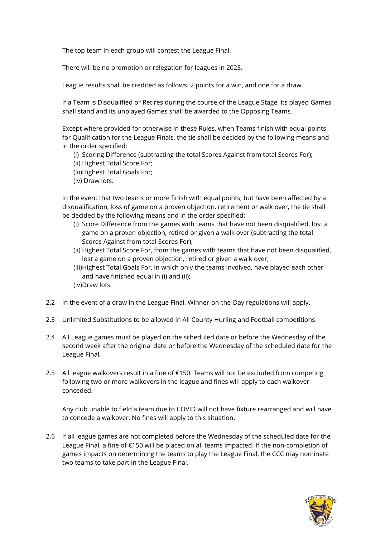The top team in each group will contest the League Final.

There will be no promotion or relegation for leagues in 2023.

League results shall be credited as follows: 2 points for a win, and one for a draw.

If a Team is Disqualified or Retires during the course of the League Stage, its played Games shall stand and its unplayed Games shall be awarded to the Opposing Teams.

Except where provided for otherwise in these Rules, when Teams finish with equal points for Qualification for the League Finals, the tie shall be decided by the following means and in the order specified:

(i) Scoring Difference (subtracting the total Scores Against from total Scores For); (ii) Highest Total Score For;

- (iii)Highest Total Goals For;
- (iv) Draw lots.

In the event that two teams or more finish with equal points, but have been affected by a disqualification, loss of game on a proven objection, retirement or walk over, the tie shall be decided by the following means and in the order specified:

- (i) Score Difference from the games with teams that have not been disqualified, lost a game on a proven objection, retired or given a walk over (subtracting the total Scores Against from total Scores For);
- (ii) Highest Total Score For, from the games with teams that have not been disqualified, lost a game on a proven objection, retired or given a walk over;
- (iii)Highest Total Goals For, in which only the teams involved, have played each other and have finished equal in (i) and (ii); (iv)Draw lots.
- 2.2 In the event of a draw in the League Final, Winner-on-the-Day regulations will apply.
- 2.3 Unlimited Substitutions to be allowed in All County Hurling and Football competitions.
- 2.4 All League games must be played on the scheduled date or before the Wednesday of the second week after the original date or before the Wednesday of the scheduled date for the League Final.
- 2.5 All league walkovers result in a fine of €150. Teams will not be excluded from competing following two or more walkovers in the league and fines will apply to each walkover conceded.

Any club unable to field a team due to COVID will not have fixture rearranged and will have to concede a walkover. No fines will apply to this situation.

2.6 If all league games are not completed before the Wednesday of the scheduled date for the League Final, a fine of €150 will be placed on all teams impacted. If the non-completion of games impacts on determining the teams to play the League Final, the CCC may nominate two teams to take part in the League Final.

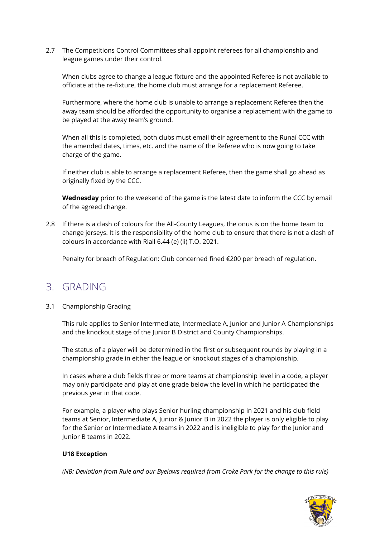2.7 The Competitions Control Committees shall appoint referees for all championship and league games under their control.

When clubs agree to change a league fixture and the appointed Referee is not available to officiate at the re-fixture, the home club must arrange for a replacement Referee.

Furthermore, where the home club is unable to arrange a replacement Referee then the away team should be afforded the opportunity to organise a replacement with the game to be played at the away team's ground.

When all this is completed, both clubs must email their agreement to the Runaí CCC with the amended dates, times, etc. and the name of the Referee who is now going to take charge of the game.

If neither club is able to arrange a replacement Referee, then the game shall go ahead as originally fixed by the CCC.

**Wednesday** prior to the weekend of the game is the latest date to inform the CCC by email of the agreed change.

2.8 If there is a clash of colours for the All-County Leagues, the onus is on the home team to change jerseys. It is the responsibility of the home club to ensure that there is not a clash of colours in accordance with Riail 6.44 (e) (ii) T.O. 2021.

Penalty for breach of Regulation: Club concerned fined €200 per breach of regulation.

# 3. GRADING

### 3.1 Championship Grading

This rule applies to Senior Intermediate, Intermediate A, Junior and Junior A Championships and the knockout stage of the Junior B District and County Championships.

The status of a player will be determined in the first or subsequent rounds by playing in a championship grade in either the league or knockout stages of a championship.

In cases where a club fields three or more teams at championship level in a code, a player may only participate and play at one grade below the level in which he participated the previous year in that code.

For example, a player who plays Senior hurling championship in 2021 and his club field teams at Senior, Intermediate A, Junior & Junior B in 2022 the player is only eligible to play for the Senior or Intermediate A teams in 2022 and is ineligible to play for the Junior and Junior B teams in 2022.

### **U18 Exception**

*(NB: Deviation from Rule and our Byelaws required from Croke Park for the change to this rule)*

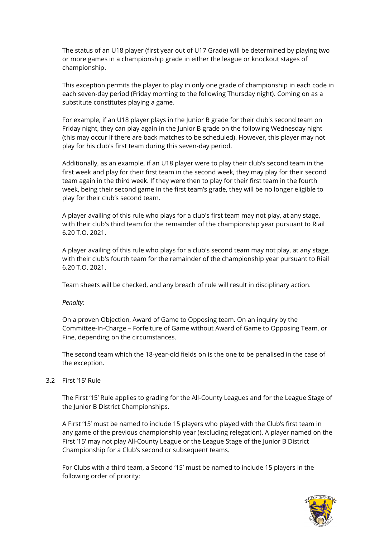The status of an U18 player (first year out of U17 Grade) will be determined by playing two or more games in a championship grade in either the league or knockout stages of championship.

This exception permits the player to play in only one grade of championship in each code in each seven-day period (Friday morning to the following Thursday night). Coming on as a substitute constitutes playing a game.

For example, if an U18 player plays in the Junior B grade for their club's second team on Friday night, they can play again in the Junior B grade on the following Wednesday night (this may occur if there are back matches to be scheduled). However, this player may not play for his club's first team during this seven-day period.

Additionally, as an example, if an U18 player were to play their club's second team in the first week and play for their first team in the second week, they may play for their second team again in the third week. If they were then to play for their first team in the fourth week, being their second game in the first team's grade, they will be no longer eligible to play for their club's second team.

A player availing of this rule who plays for a club's first team may not play, at any stage, with their club's third team for the remainder of the championship year pursuant to Riail 6.20 T.O. 2021.

A player availing of this rule who plays for a club's second team may not play, at any stage, with their club's fourth team for the remainder of the championship year pursuant to Riail 6.20 T.O. 2021.

Team sheets will be checked, and any breach of rule will result in disciplinary action.

*Penalty:* 

On a proven Objection, Award of Game to Opposing team. On an inquiry by the Committee-In-Charge – Forfeiture of Game without Award of Game to Opposing Team, or Fine, depending on the circumstances.

The second team which the 18-year-old fields on is the one to be penalised in the case of the exception.

#### 3.2 First '15' Rule

The First '15' Rule applies to grading for the All-County Leagues and for the League Stage of the Junior B District Championships.

A First '15' must be named to include 15 players who played with the Club's first team in any game of the previous championship year (excluding relegation). A player named on the First '15' may not play All-County League or the League Stage of the Junior B District Championship for a Club's second or subsequent teams.

For Clubs with a third team, a Second '15' must be named to include 15 players in the following order of priority:

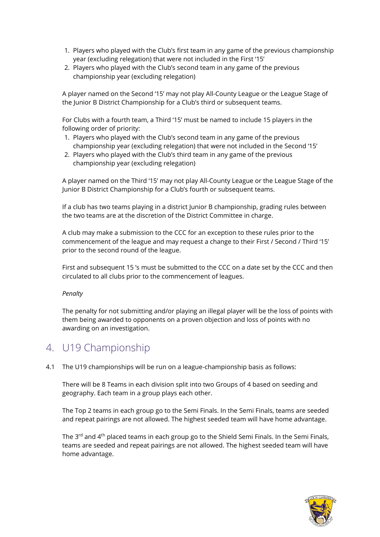- 1. Players who played with the Club's first team in any game of the previous championship year (excluding relegation) that were not included in the First '15'
- 2. Players who played with the Club's second team in any game of the previous championship year (excluding relegation)

A player named on the Second '15' may not play All-County League or the League Stage of the Junior B District Championship for a Club's third or subsequent teams.

For Clubs with a fourth team, a Third '15' must be named to include 15 players in the following order of priority:

- 1. Players who played with the Club's second team in any game of the previous championship year (excluding relegation) that were not included in the Second '15'
- 2. Players who played with the Club's third team in any game of the previous championship year (excluding relegation)

A player named on the Third '15' may not play All-County League or the League Stage of the Junior B District Championship for a Club's fourth or subsequent teams.

If a club has two teams playing in a district Junior B championship, grading rules between the two teams are at the discretion of the District Committee in charge.

A club may make a submission to the CCC for an exception to these rules prior to the commencement of the league and may request a change to their First / Second / Third '15' prior to the second round of the league.

First and subsequent 15 's must be submitted to the CCC on a date set by the CCC and then circulated to all clubs prior to the commencement of leagues.

#### *Penalty*

The penalty for not submitting and/or playing an illegal player will be the loss of points with them being awarded to opponents on a proven objection and loss of points with no awarding on an investigation.

# 4. U19 Championship

4.1 The U19 championships will be run on a league-championship basis as follows:

There will be 8 Teams in each division split into two Groups of 4 based on seeding and geography. Each team in a group plays each other.

The Top 2 teams in each group go to the Semi Finals. In the Semi Finals, teams are seeded and repeat pairings are not allowed. The highest seeded team will have home advantage.

The 3<sup>rd</sup> and 4<sup>th</sup> placed teams in each group go to the Shield Semi Finals. In the Semi Finals, teams are seeded and repeat pairings are not allowed. The highest seeded team will have home advantage.

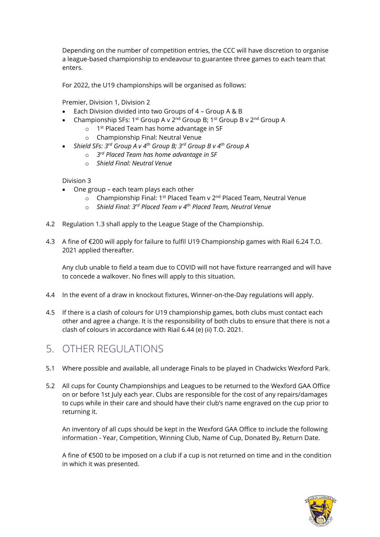Depending on the number of competition entries, the CCC will have discretion to organise a league-based championship to endeavour to guarantee three games to each team that enters.

For 2022, the U19 championships will be organised as follows:

Premier, Division 1, Division 2

- Each Division divided into two Groups of 4 Group A & B
- Championship SFs: 1<sup>st</sup> Group A v 2<sup>nd</sup> Group B; 1<sup>st</sup> Group B v 2<sup>nd</sup> Group A
	- o 1<sup>st</sup> Placed Team has home advantage in SF
	- o Championship Final: Neutral Venue
- *Shield SFs: 3rd Group A v 4th Group B; 3rd Group B v 4th Group A*
	- o *3 rd Placed Team has home advantage in SF*
	- o *Shield Final: Neutral Venue*

Division 3

- One group each team plays each other
	- o Championship Final: 1<sup>st</sup> Placed Team v 2<sup>nd</sup> Placed Team, Neutral Venue
	- o *Shield Final: 3rd Placed Team v 4th Placed Team, Neutral Venue*
- 4.2 Regulation 1.3 shall apply to the League Stage of the Championship.
- 4.3 A fine of €200 will apply for failure to fulfil U19 Championship games with Riail 6.24 T.O. 2021 applied thereafter.

Any club unable to field a team due to COVID will not have fixture rearranged and will have to concede a walkover. No fines will apply to this situation.

- 4.4 In the event of a draw in knockout fixtures, Winner-on-the-Day regulations will apply.
- 4.5 If there is a clash of colours for U19 championship games, both clubs must contact each other and agree a change. It is the responsibility of both clubs to ensure that there is not a clash of colours in accordance with Riail 6.44 (e) (ii) T.O. 2021.

# 5. OTHER REGULATIONS

- 5.1 Where possible and available, all underage Finals to be played in Chadwicks Wexford Park.
- 5.2 All cups for County Championships and Leagues to be returned to the Wexford GAA Office on or before 1st July each year. Clubs are responsible for the cost of any repairs/damages to cups while in their care and should have their club's name engraved on the cup prior to returning it.

An inventory of all cups should be kept in the Wexford GAA Office to include the following information - Year, Competition, Winning Club, Name of Cup, Donated By, Return Date.

A fine of €500 to be imposed on a club if a cup is not returned on time and in the condition in which it was presented.

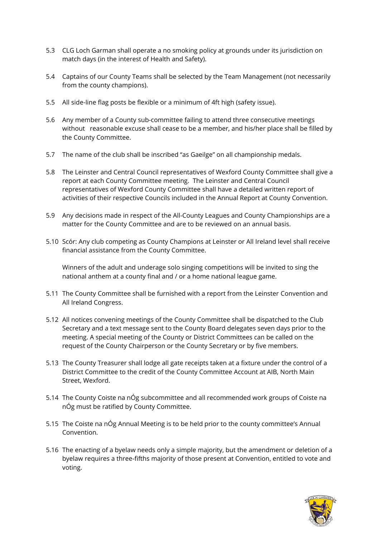- 5.3 CLG Loch Garman shall operate a no smoking policy at grounds under its jurisdiction on match days (in the interest of Health and Safety).
- 5.4 Captains of our County Teams shall be selected by the Team Management (not necessarily from the county champions).
- 5.5 All side-line flag posts be flexible or a minimum of 4ft high (safety issue).
- 5.6 Any member of a County sub-committee failing to attend three consecutive meetings without reasonable excuse shall cease to be a member, and his/her place shall be filled by the County Committee.
- 5.7 The name of the club shall be inscribed "as Gaeilge" on all championship medals.
- 5.8 The Leinster and Central Council representatives of Wexford County Committee shall give a report at each County Committee meeting. The Leinster and Central Council representatives of Wexford County Committee shall have a detailed written report of activities of their respective Councils included in the Annual Report at County Convention.
- 5.9 Any decisions made in respect of the All-County Leagues and County Championships are a matter for the County Committee and are to be reviewed on an annual basis.
- 5.10 Scór: Any club competing as County Champions at Leinster or All Ireland level shall receive financial assistance from the County Committee.

Winners of the adult and underage solo singing competitions will be invited to sing the national anthem at a county final and / or a home national league game.

- 5.11 The County Committee shall be furnished with a report from the Leinster Convention and All Ireland Congress.
- 5.12 All notices convening meetings of the County Committee shall be dispatched to the Club Secretary and a text message sent to the County Board delegates seven days prior to the meeting. A special meeting of the County or District Committees can be called on the request of the County Chairperson or the County Secretary or by five members.
- 5.13 The County Treasurer shall lodge all gate receipts taken at a fixture under the control of a District Committee to the credit of the County Committee Account at AIB, North Main Street, Wexford.
- 5.14 The County Coiste na nÓg subcommittee and all recommended work groups of Coiste na nÓg must be ratified by County Committee.
- 5.15 The Coiste na nÓg Annual Meeting is to be held prior to the county committee's Annual Convention.
- 5.16 The enacting of a byelaw needs only a simple majority, but the amendment or deletion of a byelaw requires a three-fifths majority of those present at Convention, entitled to vote and voting.

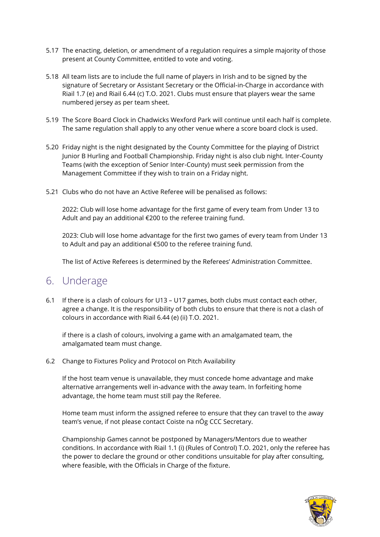- 5.17 The enacting, deletion, or amendment of a regulation requires a simple majority of those present at County Committee, entitled to vote and voting.
- 5.18 All team lists are to include the full name of players in Irish and to be signed by the signature of Secretary or Assistant Secretary or the Official-in-Charge in accordance with Riail 1.7 (e) and Riail 6.44 (c) T.O. 2021. Clubs must ensure that players wear the same numbered jersey as per team sheet.
- 5.19 The Score Board Clock in Chadwicks Wexford Park will continue until each half is complete. The same regulation shall apply to any other venue where a score board clock is used.
- 5.20 Friday night is the night designated by the County Committee for the playing of District Junior B Hurling and Football Championship. Friday night is also club night. Inter-County Teams (with the exception of Senior Inter-County) must seek permission from the Management Committee if they wish to train on a Friday night.
- 5.21 Clubs who do not have an Active Referee will be penalised as follows:

2022: Club will lose home advantage for the first game of every team from Under 13 to Adult and pay an additional €200 to the referee training fund.

2023: Club will lose home advantage for the first two games of every team from Under 13 to Adult and pay an additional €500 to the referee training fund.

The list of Active Referees is determined by the Referees' Administration Committee.

# 6. Underage

6.1 If there is a clash of colours for U13 – U17 games, both clubs must contact each other, agree a change. It is the responsibility of both clubs to ensure that there is not a clash of colours in accordance with Riail 6.44 (e) (ii) T.O. 2021.

if there is a clash of colours, involving a game with an amalgamated team, the amalgamated team must change.

6.2 Change to Fixtures Policy and Protocol on Pitch Availability

If the host team venue is unavailable, they must concede home advantage and make alternative arrangements well in-advance with the away team. In forfeiting home advantage, the home team must still pay the Referee.

Home team must inform the assigned referee to ensure that they can travel to the away team's venue, if not please contact Coiste na nÓg CCC Secretary.

Championship Games cannot be postponed by Managers/Mentors due to weather conditions. In accordance with Riail 1.1 (i) (Rules of Control) T.O. 2021, only the referee has the power to declare the ground or other conditions unsuitable for play after consulting, where feasible, with the Officials in Charge of the fixture.

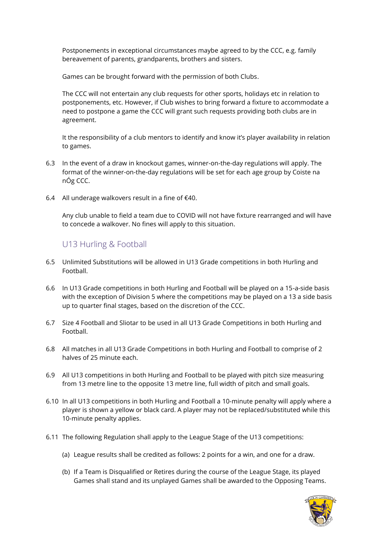Postponements in exceptional circumstances maybe agreed to by the CCC, e.g. family bereavement of parents, grandparents, brothers and sisters.

Games can be brought forward with the permission of both Clubs.

The CCC will not entertain any club requests for other sports, holidays etc in relation to postponements, etc. However, if Club wishes to bring forward a fixture to accommodate a need to postpone a game the CCC will grant such requests providing both clubs are in agreement.

It the responsibility of a club mentors to identify and know it's player availability in relation to games.

- 6.3 In the event of a draw in knockout games, winner-on-the-day regulations will apply. The format of the winner-on-the-day regulations will be set for each age group by Coiste na nÓg CCC.
- 6.4 All underage walkovers result in a fine of €40.

Any club unable to field a team due to COVID will not have fixture rearranged and will have to concede a walkover. No fines will apply to this situation.

### U13 Hurling & Football

- 6.5 Unlimited Substitutions will be allowed in U13 Grade competitions in both Hurling and Football.
- 6.6 In U13 Grade competitions in both Hurling and Football will be played on a 15-a-side basis with the exception of Division 5 where the competitions may be played on a 13 a side basis up to quarter final stages, based on the discretion of the CCC.
- 6.7 Size 4 Football and Sliotar to be used in all U13 Grade Competitions in both Hurling and Football.
- 6.8 All matches in all U13 Grade Competitions in both Hurling and Football to comprise of 2 halves of 25 minute each.
- 6.9 All U13 competitions in both Hurling and Football to be played with pitch size measuring from 13 metre line to the opposite 13 metre line, full width of pitch and small goals.
- 6.10 In all U13 competitions in both Hurling and Football a 10-minute penalty will apply where a player is shown a yellow or black card. A player may not be replaced/substituted while this 10-minute penalty applies.
- 6.11 The following Regulation shall apply to the League Stage of the U13 competitions:
	- (a) League results shall be credited as follows: 2 points for a win, and one for a draw.
	- (b) If a Team is Disqualified or Retires during the course of the League Stage, its played Games shall stand and its unplayed Games shall be awarded to the Opposing Teams.

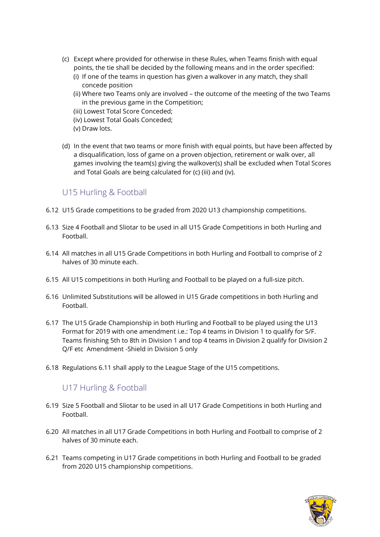- (c) Except where provided for otherwise in these Rules, when Teams finish with equal points, the tie shall be decided by the following means and in the order specified:
	- (i) If one of the teams in question has given a walkover in any match, they shall concede position
	- (ii) Where two Teams only are involved the outcome of the meeting of the two Teams in the previous game in the Competition;
	- (iii) Lowest Total Score Conceded;
	- (iv) Lowest Total Goals Conceded;
	- (v) Draw lots.
- (d) In the event that two teams or more finish with equal points, but have been affected by a disqualification, loss of game on a proven objection, retirement or walk over, all games involving the team(s) giving the walkover(s) shall be excluded when Total Scores and Total Goals are being calculated for (c) (iii) and (iv).

### U15 Hurling & Football

- 6.12 U15 Grade competitions to be graded from 2020 U13 championship competitions.
- 6.13 Size 4 Football and Sliotar to be used in all U15 Grade Competitions in both Hurling and Football.
- 6.14 All matches in all U15 Grade Competitions in both Hurling and Football to comprise of 2 halves of 30 minute each.
- 6.15 All U15 competitions in both Hurling and Football to be played on a full-size pitch.
- 6.16 Unlimited Substitutions will be allowed in U15 Grade competitions in both Hurling and Football.
- 6.17 The U15 Grade Championship in both Hurling and Football to be played using the U13 Format for 2019 with one amendment i.e.: Top 4 teams in Division 1 to qualify for S/F. Teams finishing 5th to 8th in Division 1 and top 4 teams in Division 2 qualify for Division 2 Q/F etc Amendment -Shield in Division 5 only
- 6.18 Regulations 6.11 shall apply to the League Stage of the U15 competitions.

### U17 Hurling & Football

- 6.19 Size 5 Football and Sliotar to be used in all U17 Grade Competitions in both Hurling and Football.
- 6.20 All matches in all U17 Grade Competitions in both Hurling and Football to comprise of 2 halves of 30 minute each.
- 6.21 Teams competing in U17 Grade competitions in both Hurling and Football to be graded from 2020 U15 championship competitions.

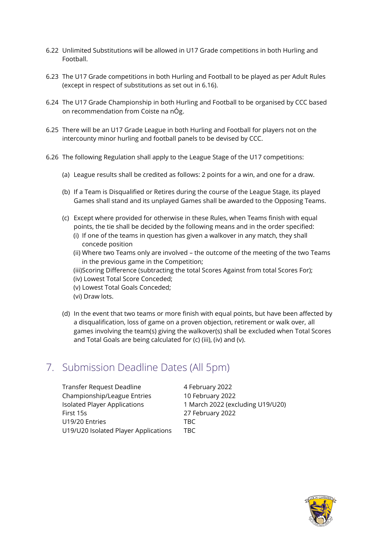- 6.22 Unlimited Substitutions will be allowed in U17 Grade competitions in both Hurling and Football.
- 6.23 The U17 Grade competitions in both Hurling and Football to be played as per Adult Rules (except in respect of substitutions as set out in 6.16).
- 6.24 The U17 Grade Championship in both Hurling and Football to be organised by CCC based on recommendation from Coiste na nÓg.
- 6.25 There will be an U17 Grade League in both Hurling and Football for players not on the intercounty minor hurling and football panels to be devised by CCC.
- 6.26 The following Regulation shall apply to the League Stage of the U17 competitions:
	- (a) League results shall be credited as follows: 2 points for a win, and one for a draw.
	- (b) If a Team is Disqualified or Retires during the course of the League Stage, its played Games shall stand and its unplayed Games shall be awarded to the Opposing Teams.
	- (c) Except where provided for otherwise in these Rules, when Teams finish with equal points, the tie shall be decided by the following means and in the order specified:
		- (i) If one of the teams in question has given a walkover in any match, they shall concede position
		- (ii) Where two Teams only are involved the outcome of the meeting of the two Teams in the previous game in the Competition;

(iii)Scoring Difference (subtracting the total Scores Against from total Scores For); (iv) Lowest Total Score Conceded;

- (v) Lowest Total Goals Conceded;
- (vi) Draw lots.
- (d) In the event that two teams or more finish with equal points, but have been affected by a disqualification, loss of game on a proven objection, retirement or walk over, all games involving the team(s) giving the walkover(s) shall be excluded when Total Scores and Total Goals are being calculated for (c) (iii), (iv) and (v).

# 7. Submission Deadline Dates (All 5pm)

| Transfer Request Deadline            | 4 February 2022                  |
|--------------------------------------|----------------------------------|
| Championship/League Entries          | 10 February 2022                 |
| <b>Isolated Player Applications</b>  | 1 March 2022 (excluding U19/U20) |
| First 15s                            | 27 February 2022                 |
| U19/20 Entries                       | TBC.                             |
| U19/U20 Isolated Player Applications | TBC.                             |

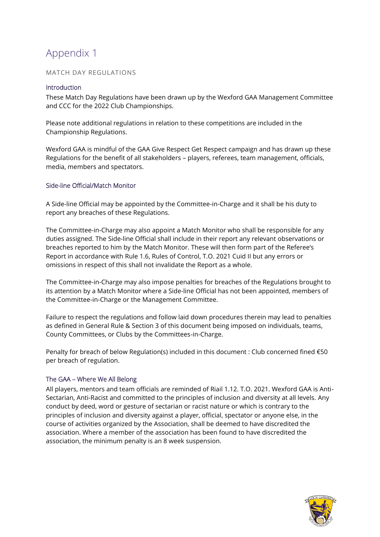# Appendix 1

### MATCH DAY REGULATIONS

#### **Introduction**

These Match Day Regulations have been drawn up by the Wexford GAA Management Committee and CCC for the 2022 Club Championships.

Please note additional regulations in relation to these competitions are included in the Championship Regulations.

Wexford GAA is mindful of the GAA Give Respect Get Respect campaign and has drawn up these Regulations for the benefit of all stakeholders – players, referees, team management, officials, media, members and spectators.

#### Side-line Official/Match Monitor

A Side-line Official may be appointed by the Committee-in-Charge and it shall be his duty to report any breaches of these Regulations.

The Committee-in-Charge may also appoint a Match Monitor who shall be responsible for any duties assigned. The Side-line Official shall include in their report any relevant observations or breaches reported to him by the Match Monitor. These will then form part of the Referee's Report in accordance with Rule 1.6, Rules of Control, T.O. 2021 Cuid II but any errors or omissions in respect of this shall not invalidate the Report as a whole.

The Committee-in-Charge may also impose penalties for breaches of the Regulations brought to its attention by a Match Monitor where a Side-line Official has not been appointed, members of the Committee-in-Charge or the Management Committee.

Failure to respect the regulations and follow laid down procedures therein may lead to penalties as defined in General Rule & Section 3 of this document being imposed on individuals, teams, County Committees, or Clubs by the Committees-in-Charge.

Penalty for breach of below Regulation(s) included in this document : Club concerned fined €50 per breach of regulation.

### The GAA – Where We All Belong

All players, mentors and team officials are reminded of Riail 1.12. T.O. 2021. Wexford GAA is Anti-Sectarian, Anti-Racist and committed to the principles of inclusion and diversity at all levels. Any conduct by deed, word or gesture of sectarian or racist nature or which is contrary to the principles of inclusion and diversity against a player, official, spectator or anyone else, in the course of activities organized by the Association, shall be deemed to have discredited the association. Where a member of the association has been found to have discredited the association, the minimum penalty is an 8 week suspension.

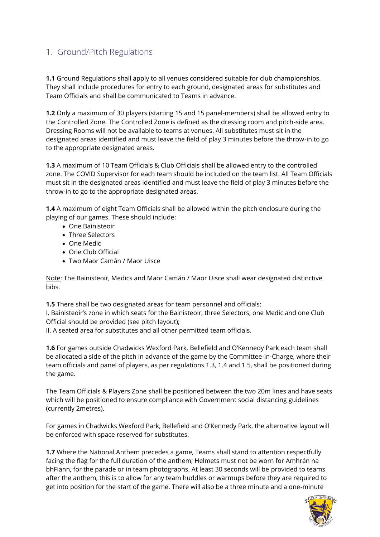## 1. Ground/Pitch Regulations

**1.1** Ground Regulations shall apply to all venues considered suitable for club championships. They shall include procedures for entry to each ground, designated areas for substitutes and Team Officials and shall be communicated to Teams in advance.

**1.2** Only a maximum of 30 players (starting 15 and 15 panel-members) shall be allowed entry to the Controlled Zone. The Controlled Zone is defined as the dressing room and pitch-side area. Dressing Rooms will not be available to teams at venues. All substitutes must sit in the designated areas identified and must leave the field of play 3 minutes before the throw-in to go to the appropriate designated areas.

**1.3** A maximum of 10 Team Officials & Club Officials shall be allowed entry to the controlled zone. The COVID Supervisor for each team should be included on the team list. All Team Officials must sit in the designated areas identified and must leave the field of play 3 minutes before the throw-in to go to the appropriate designated areas.

**1.4** A maximum of eight Team Officials shall be allowed within the pitch enclosure during the playing of our games. These should include:

- One Bainisteoir
- Three Selectors
- One Medic
- One Club Official
- Two Maor Camán / Maor Uisce

Note: The Bainisteoir, Medics and Maor Camán / Maor Uisce shall wear designated distinctive bibs.

**1.5** There shall be two designated areas for team personnel and officials:

I. Bainisteoir's zone in which seats for the Bainisteoir, three Selectors, one Medic and one Club Official should be provided (see pitch layout);

II. A seated area for substitutes and all other permitted team officials.

**1.6** For games outside Chadwicks Wexford Park, Bellefield and O'Kennedy Park each team shall be allocated a side of the pitch in advance of the game by the Committee-in-Charge, where their team officials and panel of players, as per regulations 1.3, 1.4 and 1.5, shall be positioned during the game.

The Team Officials & Players Zone shall be positioned between the two 20m lines and have seats which will be positioned to ensure compliance with Government social distancing guidelines (currently 2metres).

For games in Chadwicks Wexford Park, Bellefield and O'Kennedy Park, the alternative layout will be enforced with space reserved for substitutes.

**1.7** Where the National Anthem precedes a game, Teams shall stand to attention respectfully facing the flag for the full duration of the anthem; Helmets must not be worn for Amhrán na bhFiann, for the parade or in team photographs. At least 30 seconds will be provided to teams after the anthem, this is to allow for any team huddles or warmups before they are required to get into position for the start of the game. There will also be a three minute and a one-minute

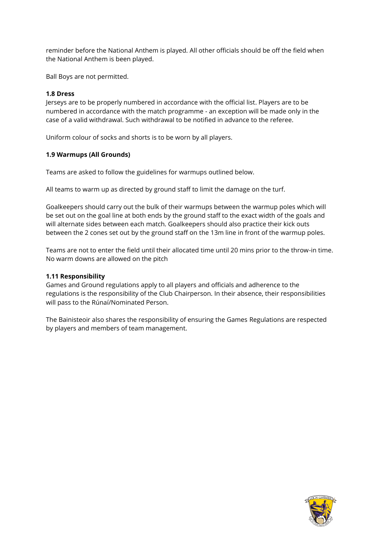reminder before the National Anthem is played. All other officials should be off the field when the National Anthem is been played.

Ball Boys are not permitted.

### **1.8 Dress**

Jerseys are to be properly numbered in accordance with the official list. Players are to be numbered in accordance with the match programme - an exception will be made only in the case of a valid withdrawal. Such withdrawal to be notified in advance to the referee.

Uniform colour of socks and shorts is to be worn by all players.

### **1.9 Warmups (All Grounds)**

Teams are asked to follow the guidelines for warmups outlined below.

All teams to warm up as directed by ground staff to limit the damage on the turf.

Goalkeepers should carry out the bulk of their warmups between the warmup poles which will be set out on the goal line at both ends by the ground staff to the exact width of the goals and will alternate sides between each match. Goalkeepers should also practice their kick outs between the 2 cones set out by the ground staff on the 13m line in front of the warmup poles.

Teams are not to enter the field until their allocated time until 20 mins prior to the throw-in time. No warm downs are allowed on the pitch

### **1.11 Responsibility**

Games and Ground regulations apply to all players and officials and adherence to the regulations is the responsibility of the Club Chairperson. In their absence, their responsibilities will pass to the Rúnaí/Nominated Person.

The Bainisteoir also shares the responsibility of ensuring the Games Regulations are respected by players and members of team management.

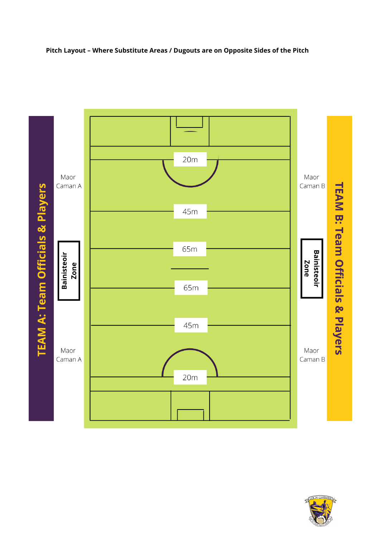### **Pitch Layout – Where Substitute Areas / Dugouts are on Opposite Sides of the Pitch**



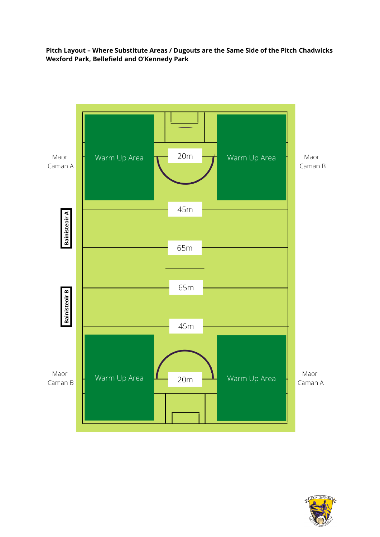### **Pitch Layout – Where Substitute Areas / Dugouts are the Same Side of the Pitch Chadwicks Wexford Park, Bellefield and O'Kennedy Park**



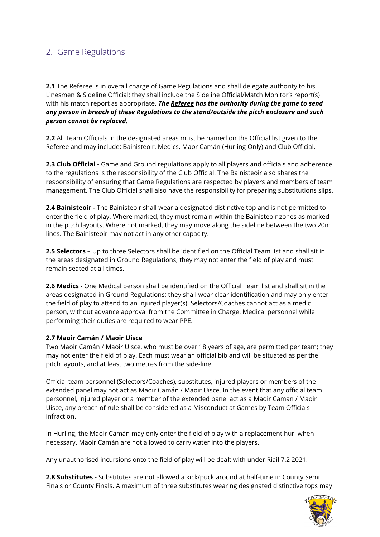## 2. Game Regulations

**2.1** The Referee is in overall charge of Game Regulations and shall delegate authority to his Linesmen & Sideline Official; they shall include the Sideline Official/Match Monitor's report(s) with his match report as appropriate. *The Referee has the authority during the game to send any person in breach of these Regulations to the stand/outside the pitch enclosure and such person cannot be replaced.*

**2.2** All Team Officials in the designated areas must be named on the Official list given to the Referee and may include: Bainisteoir, Medics, Maor Camán (Hurling Only) and Club Official.

**2.3 Club Official -** Game and Ground regulations apply to all players and officials and adherence to the regulations is the responsibility of the Club Official. The Bainisteoir also shares the responsibility of ensuring that Game Regulations are respected by players and members of team management. The Club Official shall also have the responsibility for preparing substitutions slips.

**2.4 Bainisteoir -** The Bainisteoir shall wear a designated distinctive top and is not permitted to enter the field of play. Where marked, they must remain within the Bainisteoir zones as marked in the pitch layouts. Where not marked, they may move along the sideline between the two 20m lines. The Bainisteoir may not act in any other capacity.

**2.5 Selectors –** Up to three Selectors shall be identified on the Official Team list and shall sit in the areas designated in Ground Regulations; they may not enter the field of play and must remain seated at all times.

**2.6 Medics -** One Medical person shall be identified on the Official Team list and shall sit in the areas designated in Ground Regulations; they shall wear clear identification and may only enter the field of play to attend to an injured player(s). Selectors/Coaches cannot act as a medic person, without advance approval from the Committee in Charge. Medical personnel while performing their duties are required to wear PPE.

### **2.7 Maoir Camán / Maoir Uisce**

Two Maoir Camán / Maoir Uisce, who must be over 18 years of age, are permitted per team; they may not enter the field of play. Each must wear an official bib and will be situated as per the pitch layouts, and at least two metres from the side-line.

Official team personnel (Selectors/Coaches), substitutes, injured players or members of the extended panel may not act as Maoir Camán / Maoir Uisce. In the event that any official team personnel, injured player or a member of the extended panel act as a Maoir Caman / Maoir Uisce, any breach of rule shall be considered as a Misconduct at Games by Team Officials infraction.

In Hurling, the Maoir Camán may only enter the field of play with a replacement hurl when necessary. Maoir Camán are not allowed to carry water into the players.

Any unauthorised incursions onto the field of play will be dealt with under Riail 7.2 2021.

**2.8 Substitutes -** Substitutes are not allowed a kick/puck around at half-time in County Semi Finals or County Finals. A maximum of three substitutes wearing designated distinctive tops may

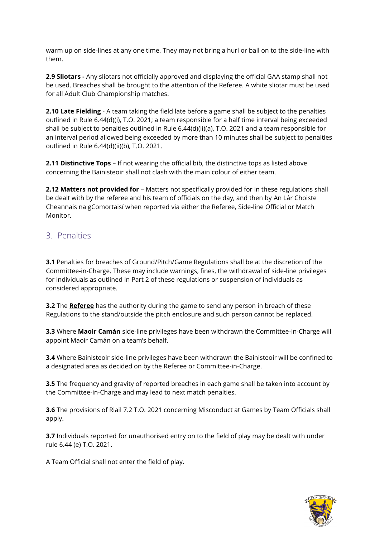warm up on side-lines at any one time. They may not bring a hurl or ball on to the side-line with them.

**2.9 Sliotars -** Any sliotars not officially approved and displaying the official GAA stamp shall not be used. Breaches shall be brought to the attention of the Referee. A white sliotar must be used for all Adult Club Championship matches.

**2.10 Late Fielding** - A team taking the field late before a game shall be subject to the penalties outlined in Rule 6.44(d)(i), T.O. 2021; a team responsible for a half time interval being exceeded shall be subject to penalties outlined in Rule 6.44(d)(ii)(a), T.O. 2021 and a team responsible for an interval period allowed being exceeded by more than 10 minutes shall be subject to penalties outlined in Rule 6.44(d)(ii)(b), T.O. 2021.

**2.11 Distinctive Tops** – If not wearing the official bib, the distinctive tops as listed above concerning the Bainisteoir shall not clash with the main colour of either team.

**2.12 Matters not provided for** – Matters not specifically provided for in these regulations shall be dealt with by the referee and his team of officials on the day, and then by An Lár Choiste Cheannais na gComortaisí when reported via either the Referee, Side-line Official or Match Monitor.

### 3. Penalties

**3.1** Penalties for breaches of Ground/Pitch/Game Regulations shall be at the discretion of the Committee-in-Charge. These may include warnings, fines, the withdrawal of side-line privileges for individuals as outlined in Part 2 of these regulations or suspension of individuals as considered appropriate.

**3.2** The **Referee** has the authority during the game to send any person in breach of these Regulations to the stand/outside the pitch enclosure and such person cannot be replaced.

**3.3** Where **Maoir Camán** side-line privileges have been withdrawn the Committee-in-Charge will appoint Maoir Camán on a team's behalf.

**3.4** Where Bainisteoir side-line privileges have been withdrawn the Bainisteoir will be confined to a designated area as decided on by the Referee or Committee-in-Charge.

**3.5** The frequency and gravity of reported breaches in each game shall be taken into account by the Committee-in-Charge and may lead to next match penalties.

**3.6** The provisions of Riail 7.2 T.O. 2021 concerning Misconduct at Games by Team Officials shall apply.

**3.7** Individuals reported for unauthorised entry on to the field of play may be dealt with under rule 6.44 (e) T.O. 2021.

A Team Official shall not enter the field of play.